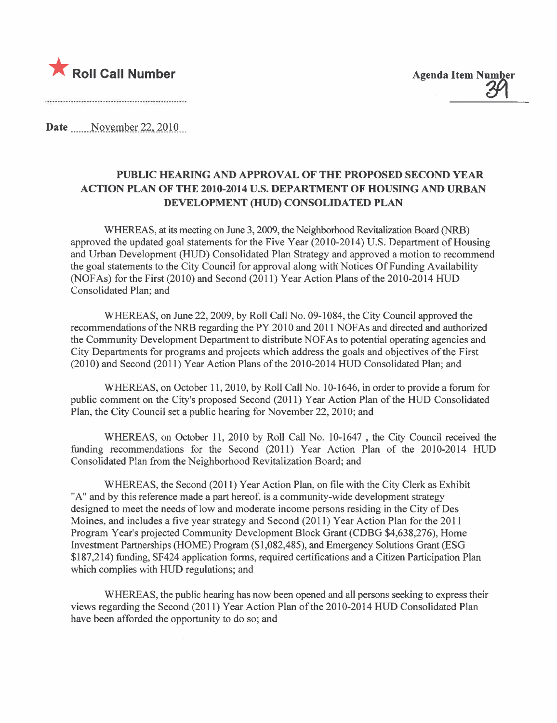

Date \_\_\_\_\_ November 22, 2010

## PUBLIC HEARING AND APPROVAL OF THE PROPOSED SECOND YEAR ACTION PLAN OF THE 2010-2014 U.S. DEPARTMENT OF HOUSING AND URBAN DEVELOPMENT (HUD) CONSOLIDATED PLAN

WHEREAS, at its meeting on June 3, 2009, the Neighborhood Revitalization Board (NRB) approved the updated goal statements for the Five Year (2010-2014) U.S. Department of Housing and Urban Development (HUD) Consolidated Plan Strategy and approved a motion to recommend the goal statements to the City Council for approval along with Notices Of Funding Availability (NOF As) for the First (2010) and Second (2011 ) Year Action Plans of the 2010-2014 HUD Consolidated Plan; and

WHEREAS, on June 22,2009, by Roll Call No. 09-1084, the City Council approved the recommendations of the NRB regarding the PY 2010 and 2011 NOFAs and directed and authorized the Community Development Department to distribute NOF As to potential operating agencies and City Departments for programs and projects which address the goals and objectives of the First (2010) and Second (2011) Year Action Plans of the 2010-2014 HUD Consolidated Plan; and

WHEREAS, on October 11,2010, by Roll Call No. 10-1646, in order to provide a forum for public comment on the City's proposed Second (2011) Year Action Plan of the HUD Consolidated Plan, the City Council set a public hearing for November 22, 2010; and

WHEREAS, on October 11, 2010 by Roll Call No. 10-1647 , the City Council received the funding recommendations for the Second (2011) Year Action Plan of the 2010-2014 HUD Consolidated Plan from the Neighborhood Revitalization Board; and

WHEREAS, the Second (2011) Year Action Plan, on fie with the City Clerk as Exhibit "A" and by this reference made a part hereof, is a community-wide development strategy designed to meet the needs of low and moderate income persons residing in the City of Des Moines, and includes a five year strategy and Second (2011 ) Year Action Plan for the 2011 Program Year's projected Community Development Block Grant (CDBG \$4,638,276), Home Investment Partnerships (HOME) Program (\$1,082,485), and Emergency Solutions Grant (ESG \$187,214) funding, SF424 application forms, required certifications and a Citizen Participation Plan which complies with HUD regulations; and

WHEREAS, the public hearing has now been opened and all persons seeking to express their views regarding the Second (2011) Year Action Plan of the 2010-2014 HUD Consolidated Plan have been afforded the opportunity to do so; and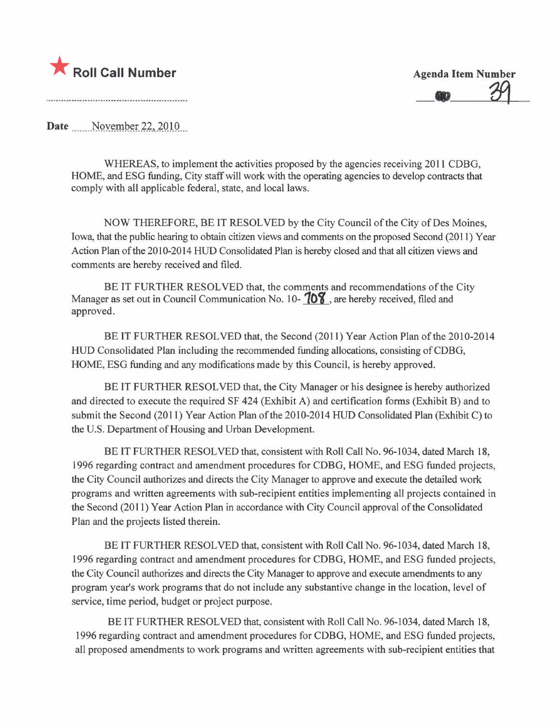

 $39$ 

Date ....\_\_NQx~mJ:~L2\_2-'\_iQl-Q..

WHEREAS, to implement the activities proposed by the agencies receiving 2011 CDBG. HOME, and ESG funding, City staff wil work with the operating agencies to develop contracts that comply with all applicable federal, state, and local laws.

NOW THEREFORE, BE IT RESOLVED by the City Council of the City of Des Moines, Iowa, that the public hearing to obtain citizen views and comments on the proposed Second (2011) Year Action Plan of the 2010-2014 HUD Consolidated Plan is hereby closed and that all citizen views and comments are hereby received and filed.

BE IT FURTHER RESOLVED that, the comments and recommendations of the City Manager as set out in Council Communication No. 10- $\sqrt{08}$ , are hereby received, filed and approved.

BE IT FURTHER RESOLVED that, the Second (2011) Year Action Plan of the 2010-2014 HUD Consolidated Plan including the recommended funding allocations, consisting ofCDBG, HOME, ESG funding and any modifications made by this Council, is hereby approved.

BE IT FURTHER RESOLVED that, the City Manager or his designee is hereby authorized and directed to execute the required SF 424 (Exhibit A) and certification forms (Exhibit B) and to submit the Second (2011) Year Action Plan of the 2010-2014 HUD Consolidated Plan (Exhibit C) to the U.S. Deparment of Housing and Urban Development.

BE IT FURTHER RESOLVED that, consistent with Roll Call No. 96-1034, dated March 18, 1996 regarding contract and amendment procedures for CDBG, HOME, and ESG funded projects, the City Council authorizes and directs the City Manager to approve and execute the detailed work programs and written agreements with sub-recipient entities implementing all projects contained in the Second (2011) Year Action Plan in accordance with City Council approval of the Consolidated Plan and the projects listed therein.

BE IT FURTHER RESOLVED that, consistent with Roll Call No. 96-1034, dated March 18, 1996 regarding contract and amendment procedures for CDBG, HOME, and ESG funded projects, the City Council authorizes and directs the City Manager to approve and execute amendments to any program year's work programs that do not include any substantive change in the location, level of service, time period, budget or project purpose.

BE IT FURTHER RESOLVED that, consistent with Roll Call No. 96-1034, dated March 18, 1996 regarding contract and amendment procedures for CDBG, HOME, and ESG funded projects, all proposed amendments to work programs and written agreements with sub-recipient entities that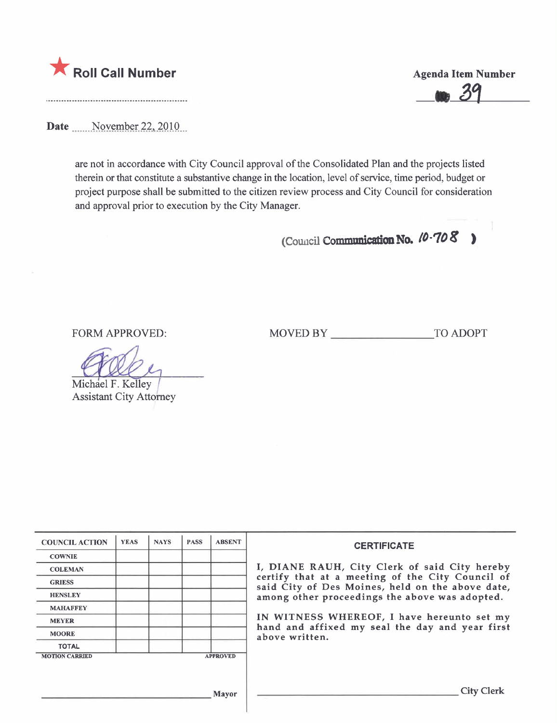

Date  $\frac{\text{November 22, 2010}}{9}$ 

are not in accordance with City Council approval of the Consolidated Plan and the projects listed therein or that constitute a substantive change in the location, level of service, time period, budget or project purpose shall be submitted to the citizen review process and City Council for consideration and approval prior to execution by the City Manager.

(Council Communication No.  $10-708$  )

FORM APPROVED: MOVED BY TO ADOPT

Michael F. Kelley Assistant City Attorney

COUNCIL ACTION YEAS NAYS PASS ABSENT **COWNIE** COLEMAN **I, DIANE RAUH**, City Clerk of said City hereby **GRIESS** certify that at a meeting of the City Council of said City of Des Moines, held on the above date, HENSLEY **ALGENT ACCESS** among other proceedings the above was adopted. **MAHAFFEY** MEYER **IN WITNESS WHEREOF**, I have hereunto set my MOORE hand and affixed my seal the day and year first above written. TOTAL MOTION CARRIED APPROVED Mayor City Clerk

**Agenda Item Number**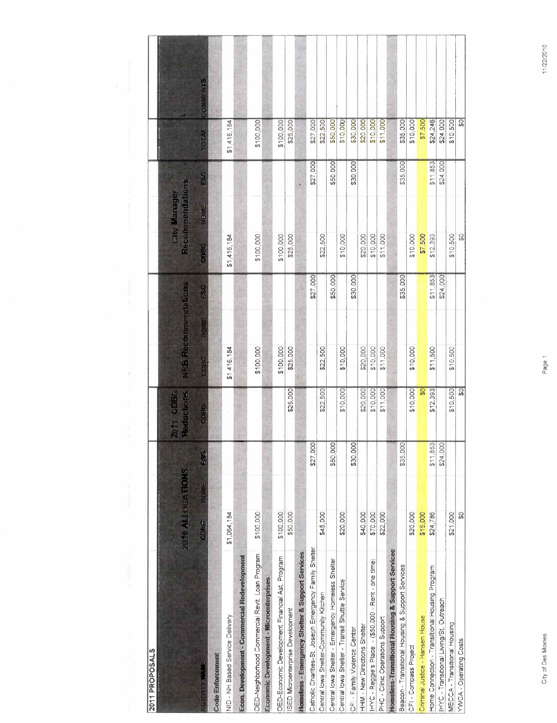| 2011 PROPOSALS                                        |                         |          |                                |                            |          |                                        |          |             |                |
|-------------------------------------------------------|-------------------------|----------|--------------------------------|----------------------------|----------|----------------------------------------|----------|-------------|----------------|
|                                                       | <b>2010 ALLOCATIONS</b> |          | 2011 CDBG<br><b>Reductions</b> | <b>VFS Recommendations</b> |          | Recommendations<br><b>City Manager</b> |          |             |                |
|                                                       | <b>HOTE</b><br>CDEG     | 555      | CORG                           | <b>CHIER</b>               | ESG      | <b>HEIGH</b><br><b>GBBC</b>            | ESG      | EGT 12.     | $\frac{8}{15}$ |
| <b>Code Enforcement</b>                               |                         |          |                                |                            |          |                                        |          |             |                |
| NID - NH Based Service Delivery                       | \$1,064,184             |          |                                | \$1416,184                 |          | \$1,416,184                            |          | \$1,416,184 |                |
| Econ. Development - Commercial Redevelopment          |                         |          |                                |                            |          |                                        |          |             |                |
| OED-Neighborhood Commercial Revit. Loan Program       | \$100,000               |          |                                | \$100,000                  |          | \$100,000                              |          | \$100,000   |                |
| Economic Development - Microenterprises               |                         |          |                                |                            |          |                                        |          |             |                |
| OED-Economic Development Financial Ast. Program       | \$100,000               |          |                                | \$100.000                  |          | \$100,000                              |          | \$100.000   |                |
| SED Microenterprise Development                       | \$50,000                |          | \$25,000                       | \$25.000                   |          | \$25,000                               |          | \$25,000    |                |
| Homeless - Emergency Shelter & Support Services       |                         |          |                                |                            |          |                                        |          |             |                |
| Catholic Charities-St Joseph Emergency Family Shelter |                         | \$27,000 |                                |                            | \$27,000 |                                        | \$27,000 | \$27,000    |                |
| Central lowa Shelter-Community Kitchen                | \$45,000                |          | \$22,500                       | \$22,500                   |          | \$22,500                               |          | \$22,500    |                |
| Central lowa Shelter - Emergency Homeless Shelter     |                         | \$50,000 |                                |                            | \$50,000 |                                        | \$50,000 | \$50,000    |                |
| Central lowa Shelter - Transit Shuttle Service        | \$20,000                |          | \$10,000                       | \$10,000                   |          | \$10,000                               |          | \$10,000    |                |
| CFI - Family Violence Center                          |                         | \$30,000 |                                |                            | \$30,000 |                                        | \$30,000 | \$30,000    |                |
| HHM-New Directions Shelter                            | \$40,000                |          | \$20,000                       | \$20,000                   |          | \$20,000                               |          | \$20 000    |                |
| HYC - Reggie's Place - (\$50,000 - Rent - one time)   | \$70,000                |          | \$10.000                       | \$10,000                   |          | \$10,000                               |          | \$10,000    |                |
| PHC - Clinic Operations Support                       | \$22,000                |          | \$11,000                       | \$11,000                   |          | \$11,000                               |          | \$11,000    |                |
| Homeless-Transitional Housing & Support Services      |                         |          |                                |                            |          |                                        |          |             |                |
| Beacon - Transitional Housing & Support Services      |                         | \$35,000 |                                |                            | \$35,000 |                                        | \$35,000 | \$35,000    |                |
| CFI - Compass Project                                 | \$20,000                |          | \$10,000                       | \$10,000                   |          | \$10.000                               |          | \$10,000    |                |
| Criminal Justice - Hansen House                       | \$15,000                |          | ន្ល                            |                            |          | \$7,500                                |          | \$7,500     |                |
| Home Connection - Transitional Housing Program        | \$24,786                | \$11,853 | \$12,393                       | \$11,500                   | \$11,853 | \$12,393                               | \$11,853 | \$24,245    |                |
| IHYC - Transitional Living/St. Outreach               |                         | \$24,000 |                                |                            | \$24,000 |                                        | \$24,000 | \$24,000    |                |
| MECCA - Transitional Housing                          | \$21,000                |          | \$10,500                       | \$10,500                   |          | \$10,500                               |          | \$10,500    |                |
| YWCA - Operating Costs                                | 8                       |          | ឝ                              |                            |          | ္တ                                     |          | င္တ         |                |

11/22/2010

Page 1

City of Des Moines